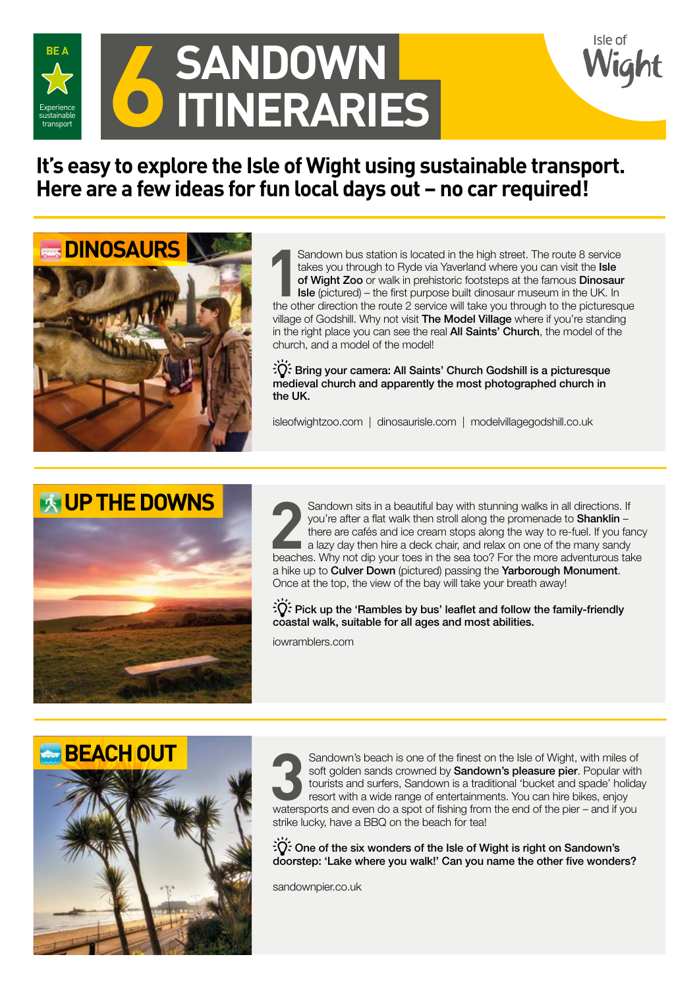

# **6 SANDOWN**<br> **6 ITINERARIE ITINERARIES**

## **It's easy to explore the Isle of Wight using sustainable transport. Here are a few ideas for fun local days out – no car required!**



Sandown bus station is located in the high street. The route 8 service<br>takes you through to Ryde via Yaverland where you can visit the **Isle**<br>of Wight Zoo or walk in prehistoric footsteps at the famous Dinosaur<br>**Isle** (pic Sandown bus station is located in the high street. The route 8 service takes you through to Ryde via Yaverland where you can visit the Isle of Wight Zoo or walk in prehistoric footsteps at the famous Dinosaur Isle (pictured) – the first purpose built dinosaur museum in the UK. In village of Godshill. Why not visit The Model Village where if you're standing in the right place you can see the real **All Saints' Church**, the model of the church, and a model of the model!

isle o

Bring your camera: All Saints' Church Godshill is a picturesque medieval church and apparently the most photographed church in the UK.

isleofwightzoo.com | dinosaurisle.com | modelvillagegodshill.co.uk



Sandown sits in a beautiful bay with stunning walks in all directions. If<br>you're after a flat walk then stroll along the promenade to **Shanklin** –<br>there are cafés and ice cream stops along the way to re-fuel. If you far<br>a you're after a flat walk then stroll along the promenade to Shanklin – there are cafés and ice cream stops along the way to re-fuel. If you fancy a lazy day then hire a deck chair, and relax on one of the many sandy beaches. Why not dip your toes in the sea too? For the more adventurous take a hike up to Culver Down (pictured) passing the Yarborough Monument. Once at the top, the view of the bay will take your breath away!

 $\frac{1}{20}$ : Pick up the 'Rambles by bus' leaflet and follow the family-friendly coastal walk, suitable for all ages and most abilities.

iowramblers.com



**3** Sandown's beach is one of the finest on the Isle of Wight, with miles of soft golden sands crowned by **Sandown's pleasure pier**. Popular with tourists and surfers, Sandown is a traditional 'bucket and spade' holida res soft golden sands crowned by **Sandown's pleasure pier**. Popular with tourists and surfers, Sandown is a traditional 'bucket and spade' holiday resort with a wide range of entertainments. You can hire bikes, enjoy watersports and even do a spot of fishing from the end of the pier – and if you strike lucky, have a BBQ on the beach for tea!

 $\partial \tilde{Q}$ : One of the six wonders of the Isle of Wight is right on Sandown's doorstep: 'Lake where you walk!' Can you name the other five wonders?

sandownpier.co.uk